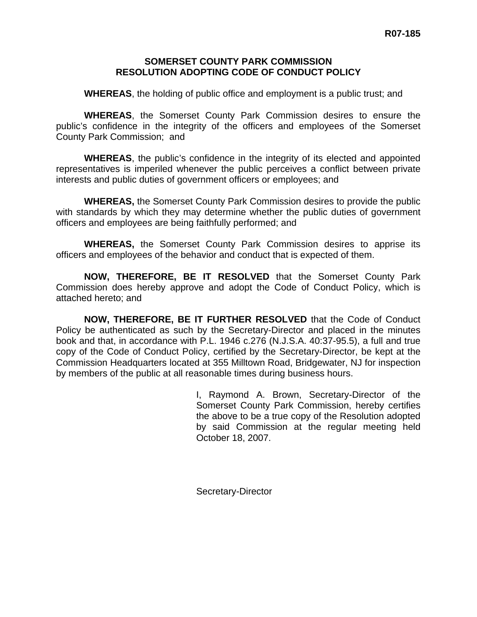### **SOMERSET COUNTY PARK COMMISSION RESOLUTION ADOPTING CODE OF CONDUCT POLICY**

**WHEREAS**, the holding of public office and employment is a public trust; and

**WHEREAS**, the Somerset County Park Commission desires to ensure the public's confidence in the integrity of the officers and employees of the Somerset County Park Commission; and

**WHEREAS**, the public's confidence in the integrity of its elected and appointed representatives is imperiled whenever the public perceives a conflict between private interests and public duties of government officers or employees; and

**WHEREAS,** the Somerset County Park Commission desires to provide the public with standards by which they may determine whether the public duties of government officers and employees are being faithfully performed; and

**WHEREAS,** the Somerset County Park Commission desires to apprise its officers and employees of the behavior and conduct that is expected of them.

**NOW, THEREFORE, BE IT RESOLVED** that the Somerset County Park Commission does hereby approve and adopt the Code of Conduct Policy, which is attached hereto; and

**NOW, THEREFORE, BE IT FURTHER RESOLVED** that the Code of Conduct Policy be authenticated as such by the Secretary-Director and placed in the minutes book and that, in accordance with P.L. 1946 c.276 (N.J.S.A. 40:37-95.5), a full and true copy of the Code of Conduct Policy, certified by the Secretary-Director, be kept at the Commission Headquarters located at 355 Milltown Road, Bridgewater, NJ for inspection by members of the public at all reasonable times during business hours.

> I, Raymond A. Brown, Secretary-Director of the Somerset County Park Commission, hereby certifies the above to be a true copy of the Resolution adopted by said Commission at the regular meeting held October 18, 2007.

Secretary-Director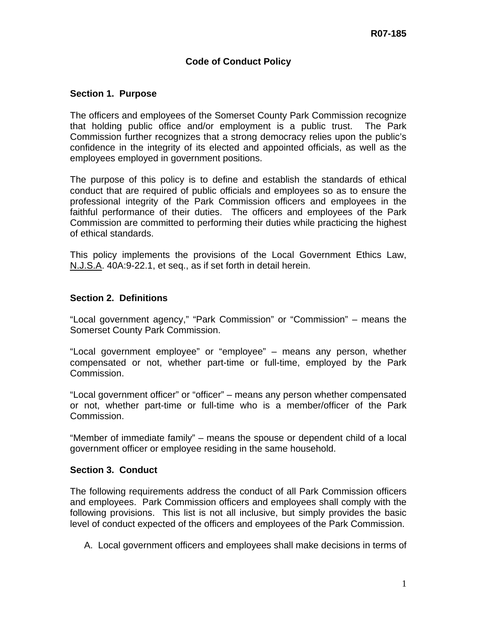# **Code of Conduct Policy**

### **Section 1. Purpose**

The officers and employees of the Somerset County Park Commission recognize that holding public office and/or employment is a public trust. The Park Commission further recognizes that a strong democracy relies upon the public's confidence in the integrity of its elected and appointed officials, as well as the employees employed in government positions.

The purpose of this policy is to define and establish the standards of ethical conduct that are required of public officials and employees so as to ensure the professional integrity of the Park Commission officers and employees in the faithful performance of their duties. The officers and employees of the Park Commission are committed to performing their duties while practicing the highest of ethical standards.

This policy implements the provisions of the Local Government Ethics Law, N.J.S.A. 40A:9-22.1, et seq., as if set forth in detail herein.

### **Section 2. Definitions**

"Local government agency," "Park Commission" or "Commission" – means the Somerset County Park Commission.

"Local government employee" or "employee" – means any person, whether compensated or not, whether part-time or full-time, employed by the Park Commission.

"Local government officer" or "officer" – means any person whether compensated or not, whether part-time or full-time who is a member/officer of the Park Commission.

"Member of immediate family" – means the spouse or dependent child of a local government officer or employee residing in the same household.

### **Section 3. Conduct**

The following requirements address the conduct of all Park Commission officers and employees. Park Commission officers and employees shall comply with the following provisions. This list is not all inclusive, but simply provides the basic level of conduct expected of the officers and employees of the Park Commission.

A. Local government officers and employees shall make decisions in terms of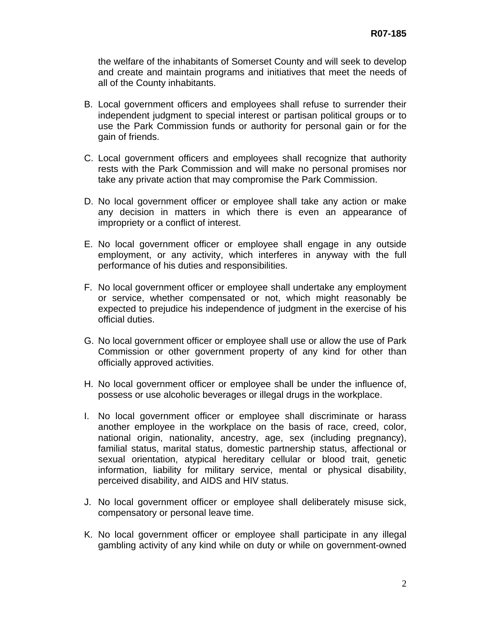the welfare of the inhabitants of Somerset County and will seek to develop and create and maintain programs and initiatives that meet the needs of all of the County inhabitants.

- B. Local government officers and employees shall refuse to surrender their independent judgment to special interest or partisan political groups or to use the Park Commission funds or authority for personal gain or for the gain of friends.
- C. Local government officers and employees shall recognize that authority rests with the Park Commission and will make no personal promises nor take any private action that may compromise the Park Commission.
- D. No local government officer or employee shall take any action or make any decision in matters in which there is even an appearance of impropriety or a conflict of interest.
- E. No local government officer or employee shall engage in any outside employment, or any activity, which interferes in anyway with the full performance of his duties and responsibilities.
- F. No local government officer or employee shall undertake any employment or service, whether compensated or not, which might reasonably be expected to prejudice his independence of judgment in the exercise of his official duties.
- G. No local government officer or employee shall use or allow the use of Park Commission or other government property of any kind for other than officially approved activities.
- H. No local government officer or employee shall be under the influence of, possess or use alcoholic beverages or illegal drugs in the workplace.
- I. No local government officer or employee shall discriminate or harass another employee in the workplace on the basis of race, creed, color, national origin, nationality, ancestry, age, sex (including pregnancy), familial status, marital status, domestic partnership status, affectional or sexual orientation, atypical hereditary cellular or blood trait, genetic information, liability for military service, mental or physical disability, perceived disability, and AIDS and HIV status.
- J. No local government officer or employee shall deliberately misuse sick, compensatory or personal leave time.
- K. No local government officer or employee shall participate in any illegal gambling activity of any kind while on duty or while on government-owned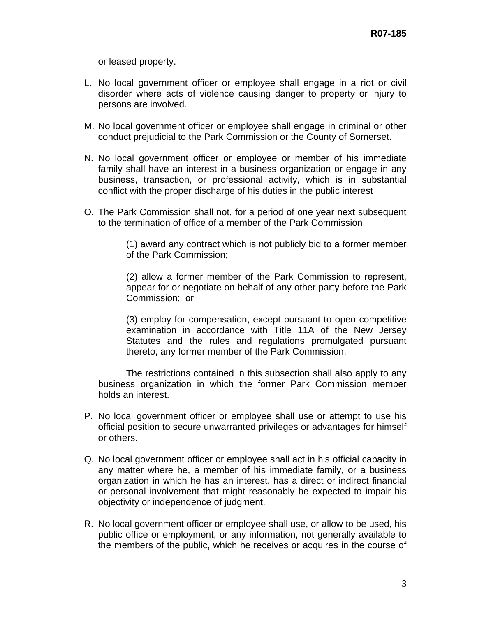or leased property.

- L. No local government officer or employee shall engage in a riot or civil disorder where acts of violence causing danger to property or injury to persons are involved.
- M. No local government officer or employee shall engage in criminal or other conduct prejudicial to the Park Commission or the County of Somerset.
- N. No local government officer or employee or member of his immediate family shall have an interest in a business organization or engage in any business, transaction, or professional activity, which is in substantial conflict with the proper discharge of his duties in the public interest
- O. The Park Commission shall not, for a period of one year next subsequent to the termination of office of a member of the Park Commission

 (1) award any contract which is not publicly bid to a former member of the Park Commission;

 (2) allow a former member of the Park Commission to represent, appear for or negotiate on behalf of any other party before the Park Commission; or

 (3) employ for compensation, except pursuant to open competitive examination in accordance with Title 11A of the New Jersey Statutes and the rules and regulations promulgated pursuant thereto, any former member of the Park Commission.

 The restrictions contained in this subsection shall also apply to any business organization in which the former Park Commission member holds an interest.

- P. No local government officer or employee shall use or attempt to use his official position to secure unwarranted privileges or advantages for himself or others.
- Q. No local government officer or employee shall act in his official capacity in any matter where he, a member of his immediate family, or a business organization in which he has an interest, has a direct or indirect financial or personal involvement that might reasonably be expected to impair his objectivity or independence of judgment.
- R. No local government officer or employee shall use, or allow to be used, his public office or employment, or any information, not generally available to the members of the public, which he receives or acquires in the course of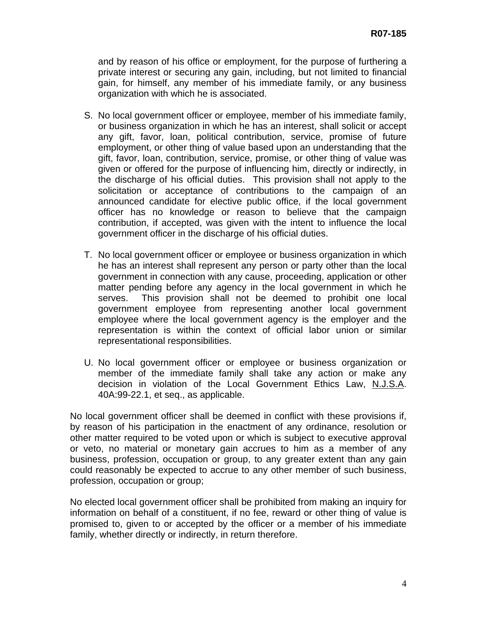and by reason of his office or employment, for the purpose of furthering a private interest or securing any gain, including, but not limited to financial gain, for himself, any member of his immediate family, or any business organization with which he is associated.

- S. No local government officer or employee, member of his immediate family, or business organization in which he has an interest, shall solicit or accept any gift, favor, loan, political contribution, service, promise of future employment, or other thing of value based upon an understanding that the gift, favor, loan, contribution, service, promise, or other thing of value was given or offered for the purpose of influencing him, directly or indirectly, in the discharge of his official duties. This provision shall not apply to the solicitation or acceptance of contributions to the campaign of an announced candidate for elective public office, if the local government officer has no knowledge or reason to believe that the campaign contribution, if accepted, was given with the intent to influence the local government officer in the discharge of his official duties.
- T. No local government officer or employee or business organization in which he has an interest shall represent any person or party other than the local government in connection with any cause, proceeding, application or other matter pending before any agency in the local government in which he serves. This provision shall not be deemed to prohibit one local government employee from representing another local government employee where the local government agency is the employer and the representation is within the context of official labor union or similar representational responsibilities.
- U. No local government officer or employee or business organization or member of the immediate family shall take any action or make any decision in violation of the Local Government Ethics Law, N.J.S.A. 40A:99-22.1, et seq., as applicable.

No local government officer shall be deemed in conflict with these provisions if, by reason of his participation in the enactment of any ordinance, resolution or other matter required to be voted upon or which is subject to executive approval or veto, no material or monetary gain accrues to him as a member of any business, profession, occupation or group, to any greater extent than any gain could reasonably be expected to accrue to any other member of such business, profession, occupation or group;

No elected local government officer shall be prohibited from making an inquiry for information on behalf of a constituent, if no fee, reward or other thing of value is promised to, given to or accepted by the officer or a member of his immediate family, whether directly or indirectly, in return therefore.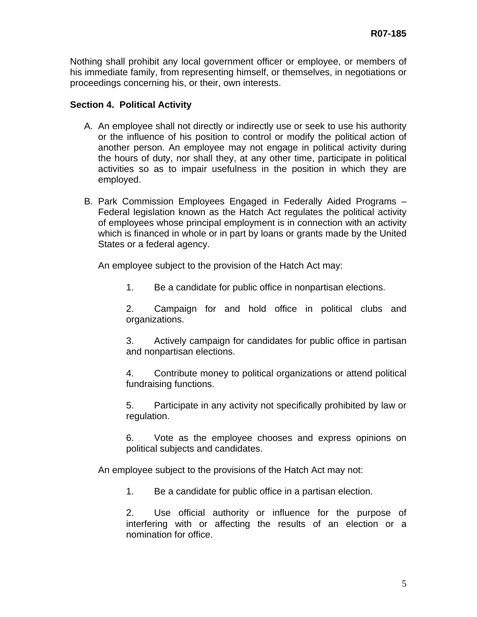Nothing shall prohibit any local government officer or employee, or members of his immediate family, from representing himself, or themselves, in negotiations or proceedings concerning his, or their, own interests.

# **Section 4. Political Activity**

- A. An employee shall not directly or indirectly use or seek to use his authority or the influence of his position to control or modify the political action of another person. An employee may not engage in political activity during the hours of duty, nor shall they, at any other time, participate in political activities so as to impair usefulness in the position in which they are employed.
- B. Park Commission Employees Engaged in Federally Aided Programs Federal legislation known as the Hatch Act regulates the political activity of employees whose principal employment is in connection with an activity which is financed in whole or in part by loans or grants made by the United States or a federal agency.

An employee subject to the provision of the Hatch Act may:

1. Be a candidate for public office in nonpartisan elections.

 2. Campaign for and hold office in political clubs and organizations.

 3. Actively campaign for candidates for public office in partisan and nonpartisan elections.

 4. Contribute money to political organizations or attend political fundraising functions.

 5. Participate in any activity not specifically prohibited by law or regulation.

 6. Vote as the employee chooses and express opinions on political subjects and candidates.

An employee subject to the provisions of the Hatch Act may not:

1. Be a candidate for public office in a partisan election.

 2. Use official authority or influence for the purpose of interfering with or affecting the results of an election or a nomination for office.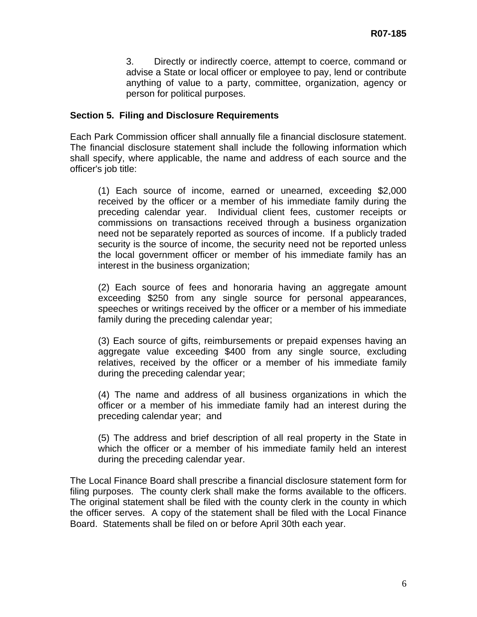3. Directly or indirectly coerce, attempt to coerce, command or advise a State or local officer or employee to pay, lend or contribute anything of value to a party, committee, organization, agency or person for political purposes.

## **Section 5. Filing and Disclosure Requirements**

Each Park Commission officer shall annually file a financial disclosure statement. The financial disclosure statement shall include the following information which shall specify, where applicable, the name and address of each source and the officer's job title:

(1) Each source of income, earned or unearned, exceeding \$2,000 received by the officer or a member of his immediate family during the preceding calendar year. Individual client fees, customer receipts or commissions on transactions received through a business organization need not be separately reported as sources of income. If a publicly traded security is the source of income, the security need not be reported unless the local government officer or member of his immediate family has an interest in the business organization;

(2) Each source of fees and honoraria having an aggregate amount exceeding \$250 from any single source for personal appearances, speeches or writings received by the officer or a member of his immediate family during the preceding calendar year;

(3) Each source of gifts, reimbursements or prepaid expenses having an aggregate value exceeding \$400 from any single source, excluding relatives, received by the officer or a member of his immediate family during the preceding calendar year;

(4) The name and address of all business organizations in which the officer or a member of his immediate family had an interest during the preceding calendar year; and

(5) The address and brief description of all real property in the State in which the officer or a member of his immediate family held an interest during the preceding calendar year.

The Local Finance Board shall prescribe a financial disclosure statement form for filing purposes. The county clerk shall make the forms available to the officers. The original statement shall be filed with the county clerk in the county in which the officer serves. A copy of the statement shall be filed with the Local Finance Board. Statements shall be filed on or before April 30th each year.